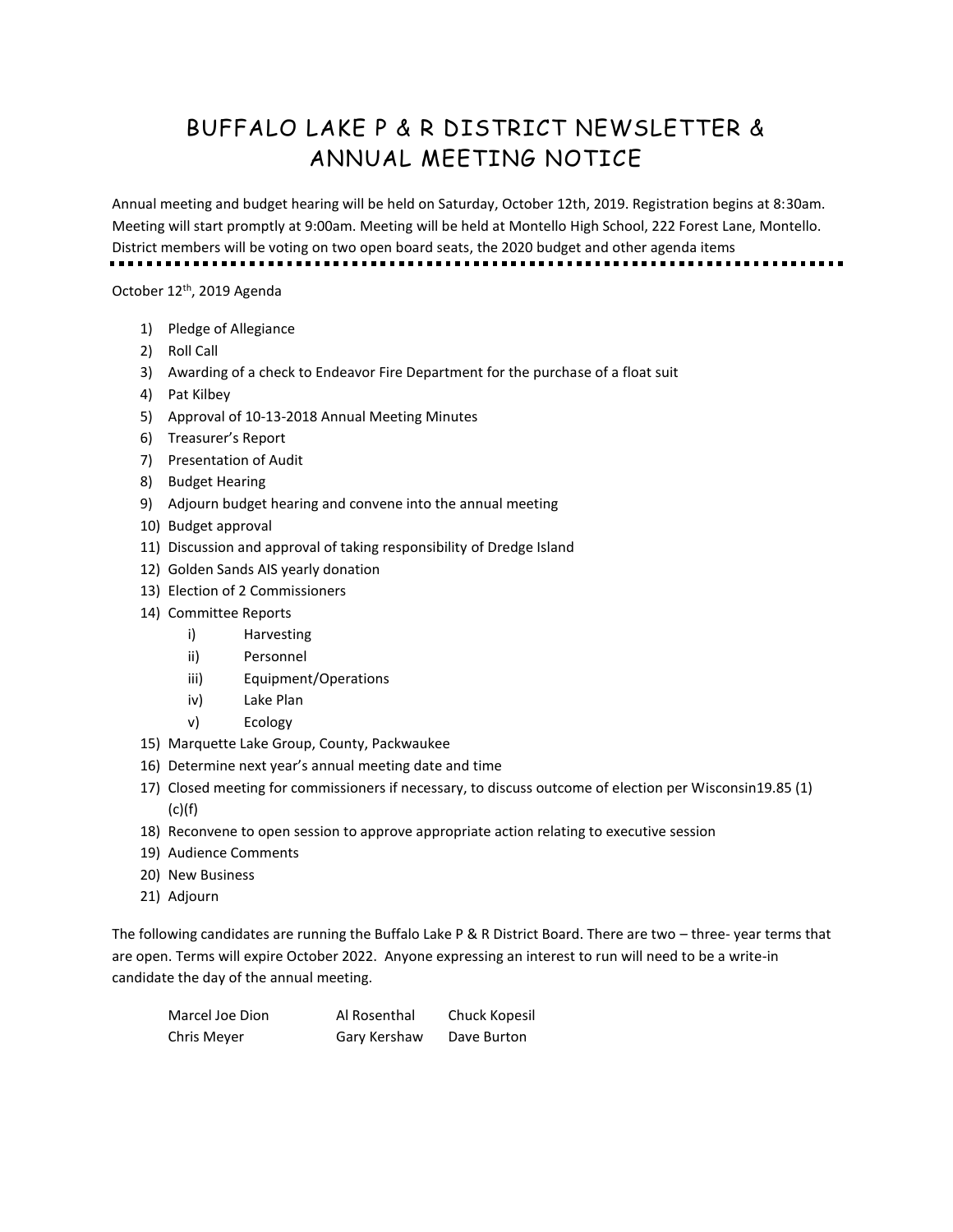## BUFFALO LAKE P & R DISTRICT NEWSLETTER & ANNUAL MEETING NOTICE

Annual meeting and budget hearing will be held on Saturday, October 12th, 2019. Registration begins at 8:30am. Meeting will start promptly at 9:00am. Meeting will be held at Montello High School, 222 Forest Lane, Montello. District members will be voting on two open board seats, the 2020 budget and other agenda items

October 12<sup>th</sup>, 2019 Agenda

- 1) Pledge of Allegiance
- 2) Roll Call
- 3) Awarding of a check to Endeavor Fire Department for the purchase of a float suit
- 4) Pat Kilbey
- 5) Approval of 10-13-2018 Annual Meeting Minutes
- 6) Treasurer's Report
- 7) Presentation of Audit
- 8) Budget Hearing
- 9) Adjourn budget hearing and convene into the annual meeting
- 10) Budget approval
- 11) Discussion and approval of taking responsibility of Dredge Island
- 12) Golden Sands AIS yearly donation
- 13) Election of 2 Commissioners
- 14) Committee Reports
	- i) Harvesting
	- ii) Personnel
	- iii) Equipment/Operations
	- iv) Lake Plan
	- v) Ecology
- 15) Marquette Lake Group, County, Packwaukee
- 16) Determine next year's annual meeting date and time
- 17) Closed meeting for commissioners if necessary, to discuss outcome of election per Wisconsin19.85 (1)  $(c)(f)$
- 18) Reconvene to open session to approve appropriate action relating to executive session
- 19) Audience Comments
- 20) New Business
- 21) Adjourn

The following candidates are running the Buffalo Lake P & R District Board. There are two – three- year terms that are open. Terms will expire October 2022. Anyone expressing an interest to run will need to be a write-in candidate the day of the annual meeting.

| Marcel Joe Dion | Al Rosenthal | Chuck Kopesil |
|-----------------|--------------|---------------|
| Chris Meyer     | Gary Kershaw | Dave Burton   |